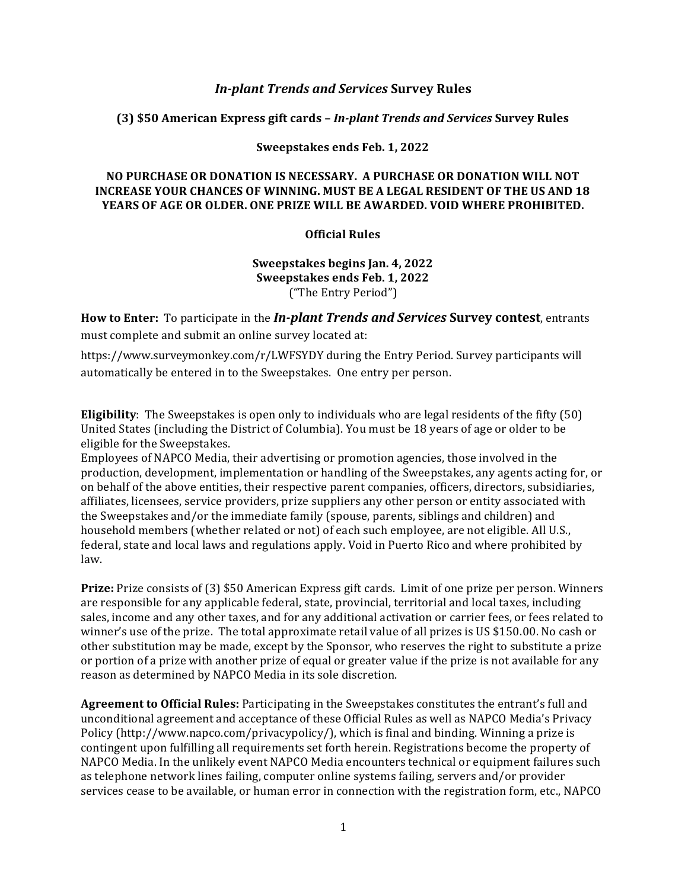# **In-plant Trends and Services Survey Rules**

### **(3) \$50 American Express gift cards –** *In-plant Trends and Services* **Survey Rules**

#### **Sweepstakes ends Feb. 1, 2022**

# **NO PURCHASE OR DONATION IS NECESSARY. A PURCHASE OR DONATION WILL NOT INCREASE YOUR CHANCES OF WINNING. MUST BE A LEGAL RESIDENT OF THE US AND 18 YEARS OF AGE OR OLDER. ONE PRIZE WILL BE AWARDED. VOID WHERE PROHIBITED.**

### **Official Rules**

**Sweepstakes begins Jan. 4, 2022 Sweepstakes ends Feb. 1, 2022** ("The Entry Period") 

**How to Enter:** To participate in the *In-plant Trends and Services* Survey contest, entrants must complete and submit an online survey located at: 

https://www.surveymonkey.com/r/LWFSYDY during the Entry Period. Survey participants will automatically be entered in to the Sweepstakes. One entry per person.

**Eligibility**: The Sweepstakes is open only to individuals who are legal residents of the fifty (50) United States (including the District of Columbia). You must be 18 years of age or older to be eligible for the Sweepstakes.

Employees of NAPCO Media, their advertising or promotion agencies, those involved in the production, development, implementation or handling of the Sweepstakes, any agents acting for, or on behalf of the above entities, their respective parent companies, officers, directors, subsidiaries, affiliates, licensees, service providers, prize suppliers any other person or entity associated with the Sweepstakes and/or the immediate family (spouse, parents, siblings and children) and household members (whether related or not) of each such employee, are not eligible. All U.S., federal, state and local laws and regulations apply. Void in Puerto Rico and where prohibited by law. 

**Prize:** Prize consists of (3) \$50 American Express gift cards. Limit of one prize per person. Winners are responsible for any applicable federal, state, provincial, territorial and local taxes, including sales, income and any other taxes, and for any additional activation or carrier fees, or fees related to winner's use of the prize. The total approximate retail value of all prizes is US \$150.00. No cash or other substitution may be made, except by the Sponsor, who reserves the right to substitute a prize or portion of a prize with another prize of equal or greater value if the prize is not available for any reason as determined by NAPCO Media in its sole discretion.

**Agreement to Official Rules:** Participating in the Sweepstakes constitutes the entrant's full and unconditional agreement and acceptance of these Official Rules as well as NAPCO Media's Privacy Policy (http://www.napco.com/privacypolicy/), which is final and binding. Winning a prize is contingent upon fulfilling all requirements set forth herein. Registrations become the property of NAPCO Media. In the unlikely event NAPCO Media encounters technical or equipment failures such as telephone network lines failing, computer online systems failing, servers and/or provider services cease to be available, or human error in connection with the registration form, etc., NAPCO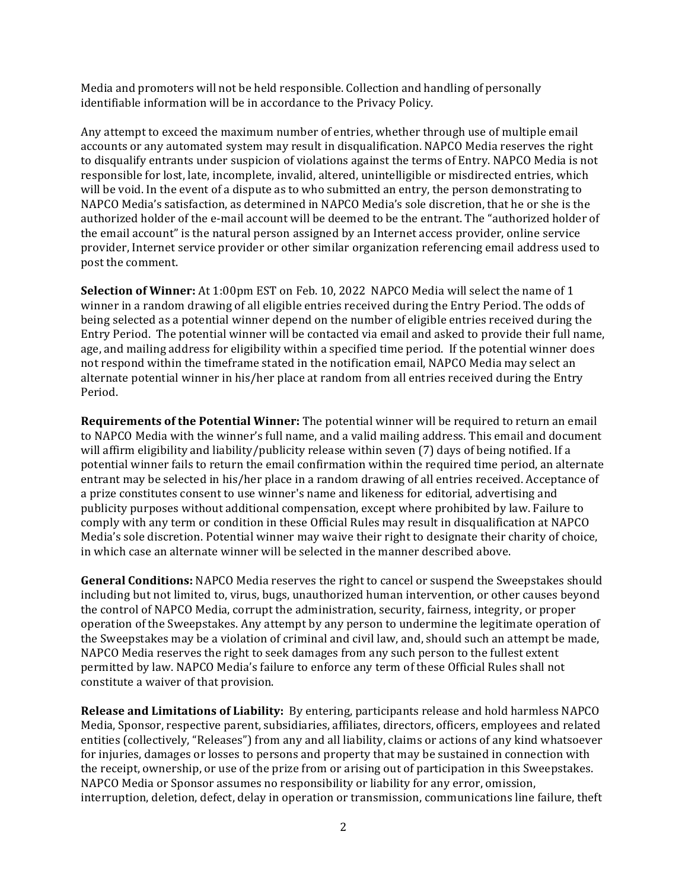Media and promoters will not be held responsible. Collection and handling of personally identifiable information will be in accordance to the Privacy Policy.

Any attempt to exceed the maximum number of entries, whether through use of multiple email accounts or any automated system may result in disqualification. NAPCO Media reserves the right to disqualify entrants under suspicion of violations against the terms of Entry. NAPCO Media is not responsible for lost, late, incomplete, invalid, altered, unintelligible or misdirected entries, which will be void. In the event of a dispute as to who submitted an entry, the person demonstrating to NAPCO Media's satisfaction, as determined in NAPCO Media's sole discretion, that he or she is the authorized holder of the e-mail account will be deemed to be the entrant. The "authorized holder of the email account" is the natural person assigned by an Internet access provider, online service provider, Internet service provider or other similar organization referencing email address used to post the comment. 

**Selection of Winner:** At 1:00pm EST on Feb. 10, 2022 NAPCO Media will select the name of 1 winner in a random drawing of all eligible entries received during the Entry Period. The odds of being selected as a potential winner depend on the number of eligible entries received during the Entry Period. The potential winner will be contacted via email and asked to provide their full name, age, and mailing address for eligibility within a specified time period. If the potential winner does not respond within the timeframe stated in the notification email, NAPCO Media may select an alternate potential winner in his/her place at random from all entries received during the Entry Period.

**Requirements of the Potential Winner:** The potential winner will be required to return an email to NAPCO Media with the winner's full name, and a valid mailing address. This email and document will affirm eligibility and liability/publicity release within seven (7) days of being notified. If a potential winner fails to return the email confirmation within the required time period, an alternate entrant may be selected in his/her place in a random drawing of all entries received. Acceptance of a prize constitutes consent to use winner's name and likeness for editorial, advertising and publicity purposes without additional compensation, except where prohibited by law. Failure to comply with any term or condition in these Official Rules may result in disqualification at NAPCO Media's sole discretion. Potential winner may waive their right to designate their charity of choice, in which case an alternate winner will be selected in the manner described above.

**General Conditions:** NAPCO Media reserves the right to cancel or suspend the Sweepstakes should including but not limited to, virus, bugs, unauthorized human intervention, or other causes beyond the control of NAPCO Media, corrupt the administration, security, fairness, integrity, or proper operation of the Sweepstakes. Any attempt by any person to undermine the legitimate operation of the Sweepstakes may be a violation of criminal and civil law, and, should such an attempt be made, NAPCO Media reserves the right to seek damages from any such person to the fullest extent permitted by law. NAPCO Media's failure to enforce any term of these Official Rules shall not constitute a waiver of that provision.

**Release and Limitations of Liability:** By entering, participants release and hold harmless NAPCO Media, Sponsor, respective parent, subsidiaries, affiliates, directors, officers, employees and related entities (collectively, "Releases") from any and all liability, claims or actions of any kind whatsoever for injuries, damages or losses to persons and property that may be sustained in connection with the receipt, ownership, or use of the prize from or arising out of participation in this Sweepstakes. NAPCO Media or Sponsor assumes no responsibility or liability for any error, omission, interruption, deletion, defect, delay in operation or transmission, communications line failure, theft